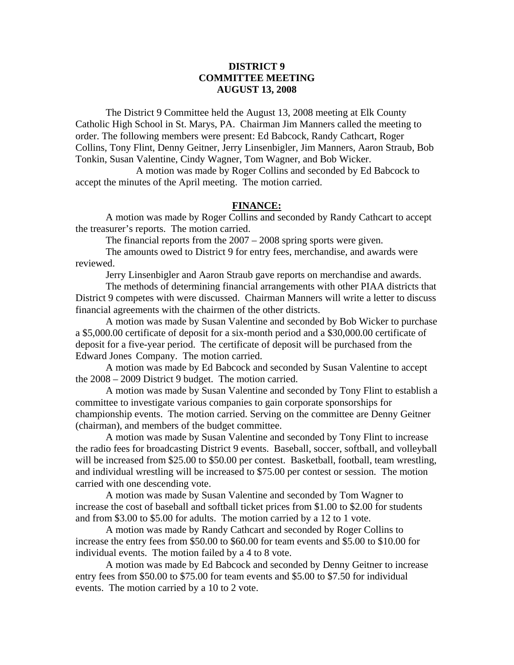# **DISTRICT 9 COMMITTEE MEETING AUGUST 13, 2008**

 The District 9 Committee held the August 13, 2008 meeting at Elk County Catholic High School in St. Marys, PA. Chairman Jim Manners called the meeting to order. The following members were present: Ed Babcock, Randy Cathcart, Roger Collins, Tony Flint, Denny Geitner, Jerry Linsenbigler, Jim Manners, Aaron Straub, Bob Tonkin, Susan Valentine, Cindy Wagner, Tom Wagner, and Bob Wicker.

 A motion was made by Roger Collins and seconded by Ed Babcock to accept the minutes of the April meeting. The motion carried.

### **FINANCE:**

A motion was made by Roger Collins and seconded by Randy Cathcart to accept the treasurer's reports. The motion carried.

The financial reports from the 2007 – 2008 spring sports were given.

 The amounts owed to District 9 for entry fees, merchandise, and awards were reviewed.

Jerry Linsenbigler and Aaron Straub gave reports on merchandise and awards.

 The methods of determining financial arrangements with other PIAA districts that District 9 competes with were discussed. Chairman Manners will write a letter to discuss financial agreements with the chairmen of the other districts.

 A motion was made by Susan Valentine and seconded by Bob Wicker to purchase a \$5,000.00 certificate of deposit for a six-month period and a \$30,000.00 certificate of deposit for a five-year period. The certificate of deposit will be purchased from the Edward Jones Company. The motion carried.

 A motion was made by Ed Babcock and seconded by Susan Valentine to accept the 2008 – 2009 District 9 budget. The motion carried.

 A motion was made by Susan Valentine and seconded by Tony Flint to establish a committee to investigate various companies to gain corporate sponsorships for championship events. The motion carried. Serving on the committee are Denny Geitner (chairman), and members of the budget committee.

 A motion was made by Susan Valentine and seconded by Tony Flint to increase the radio fees for broadcasting District 9 events. Baseball, soccer, softball, and volleyball will be increased from \$25.00 to \$50.00 per contest. Basketball, football, team wrestling, and individual wrestling will be increased to \$75.00 per contest or session. The motion carried with one descending vote.

 A motion was made by Susan Valentine and seconded by Tom Wagner to increase the cost of baseball and softball ticket prices from \$1.00 to \$2.00 for students and from \$3.00 to \$5.00 for adults. The motion carried by a 12 to 1 vote.

 A motion was made by Randy Cathcart and seconded by Roger Collins to increase the entry fees from \$50.00 to \$60.00 for team events and \$5.00 to \$10.00 for individual events. The motion failed by a 4 to 8 vote.

 A motion was made by Ed Babcock and seconded by Denny Geitner to increase entry fees from \$50.00 to \$75.00 for team events and \$5.00 to \$7.50 for individual events. The motion carried by a 10 to 2 vote.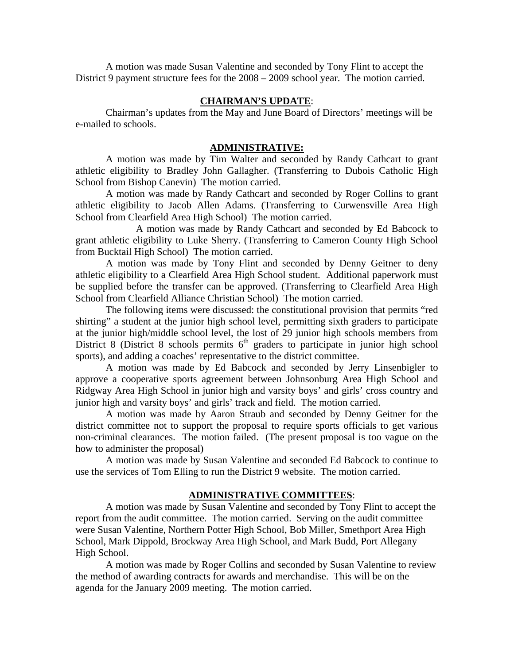A motion was made Susan Valentine and seconded by Tony Flint to accept the District 9 payment structure fees for the 2008 – 2009 school year. The motion carried.

### **CHAIRMAN'S UPDATE**:

Chairman's updates from the May and June Board of Directors' meetings will be e-mailed to schools.

## **ADMINISTRATIVE:**

 A motion was made by Tim Walter and seconded by Randy Cathcart to grant athletic eligibility to Bradley John Gallagher. (Transferring to Dubois Catholic High School from Bishop Canevin) The motion carried.

A motion was made by Randy Cathcart and seconded by Roger Collins to grant athletic eligibility to Jacob Allen Adams. (Transferring to Curwensville Area High School from Clearfield Area High School) The motion carried.

 A motion was made by Randy Cathcart and seconded by Ed Babcock to grant athletic eligibility to Luke Sherry. (Transferring to Cameron County High School from Bucktail High School) The motion carried.

A motion was made by Tony Flint and seconded by Denny Geitner to deny athletic eligibility to a Clearfield Area High School student. Additional paperwork must be supplied before the transfer can be approved. (Transferring to Clearfield Area High School from Clearfield Alliance Christian School) The motion carried.

The following items were discussed: the constitutional provision that permits "red shirting" a student at the junior high school level, permitting sixth graders to participate at the junior high/middle school level, the lost of 29 junior high schools members from District 8 (District 8 schools permits  $6<sup>th</sup>$  graders to participate in junior high school sports), and adding a coaches' representative to the district committee.

A motion was made by Ed Babcock and seconded by Jerry Linsenbigler to approve a cooperative sports agreement between Johnsonburg Area High School and Ridgway Area High School in junior high and varsity boys' and girls' cross country and junior high and varsity boys' and girls' track and field. The motion carried.

A motion was made by Aaron Straub and seconded by Denny Geitner for the district committee not to support the proposal to require sports officials to get various non-criminal clearances. The motion failed. (The present proposal is too vague on the how to administer the proposal)

A motion was made by Susan Valentine and seconded Ed Babcock to continue to use the services of Tom Elling to run the District 9 website. The motion carried.

#### **ADMINISTRATIVE COMMITTEES**:

A motion was made by Susan Valentine and seconded by Tony Flint to accept the report from the audit committee. The motion carried. Serving on the audit committee were Susan Valentine, Northern Potter High School, Bob Miller, Smethport Area High School, Mark Dippold, Brockway Area High School, and Mark Budd, Port Allegany High School.

A motion was made by Roger Collins and seconded by Susan Valentine to review the method of awarding contracts for awards and merchandise. This will be on the agenda for the January 2009 meeting. The motion carried.